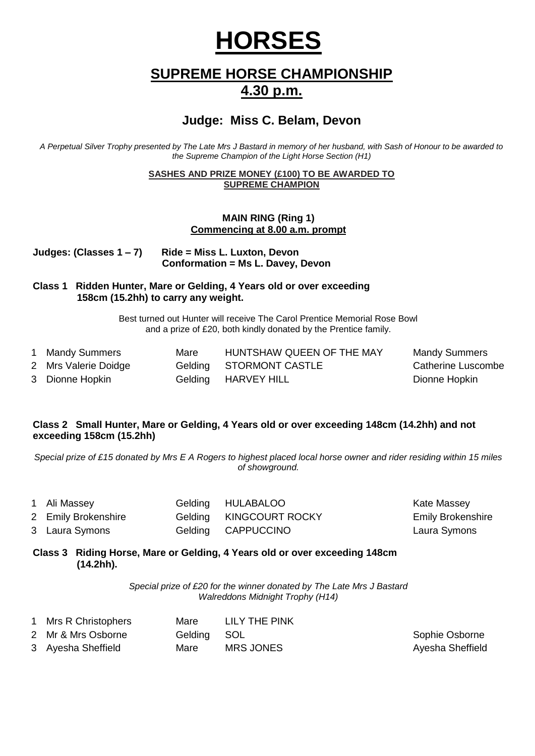# **HORSES**

## **SUPREME HORSE CHAMPIONSHIP 4.30 p.m.**

## **Judge: Miss C. Belam, Devon**

*A Perpetual Silver Trophy presented by The Late Mrs J Bastard in memory of her husband, with Sash of Honour to be awarded to the Supreme Champion of the Light Horse Section (H1)*

#### **SASHES AND PRIZE MONEY (£100) TO BE AWARDED TO SUPREME CHAMPION**

#### **MAIN RING (Ring 1) Commencing at 8.00 a.m. prompt**

| Judges: (Classes 1 – 7) | Ride = Miss L. Luxton, Devon      |
|-------------------------|-----------------------------------|
|                         | Conformation = Ms L. Davey, Devon |

#### **Class 1 Ridden Hunter, Mare or Gelding, 4 Years old or over exceeding 158cm (15.2hh) to carry any weight.**

Best turned out Hunter will receive The Carol Prentice Memorial Rose Bowl and a prize of £20, both kindly donated by the Prentice family.

| 1 Mandy Summers      | Mare | HUNTSHAW QUEEN OF THE MAY | <b>Mandy Summers</b>      |
|----------------------|------|---------------------------|---------------------------|
| 2 Mrs Valerie Doidge |      | Gelding STORMONT CASTLE   | <b>Catherine Luscombe</b> |
| 3 Dionne Hopkin      |      | Gelding HARVEY HILL       | Dionne Hopkin             |

#### **Class 2 Small Hunter, Mare or Gelding, 4 Years old or over exceeding 148cm (14.2hh) and not exceeding 158cm (15.2hh)**

*Special prize of £15 donated by Mrs E A Rogers to highest placed local horse owner and rider residing within 15 miles of showground.*

| 1 Ali Massey        | Gelding HULABALOO       | Kate Massey              |
|---------------------|-------------------------|--------------------------|
| 2 Emily Brokenshire | Gelding KINGCOURT ROCKY | <b>Emily Brokenshire</b> |
| 3 Laura Symons      | Gelding CAPPUCCINO      | Laura Symons             |

#### **Class 3 Riding Horse, Mare or Gelding, 4 Years old or over exceeding 148cm (14.2hh).**

*Special prize of £20 for the winner donated by The Late Mrs J Bastard Walreddons Midnight Trophy (H14)*

| 1 Mrs R Christophers | Mare        | LILY THE PINK    |                  |
|----------------------|-------------|------------------|------------------|
| 2 Mr & Mrs Osborne   | Gelding SOL |                  | Sophie Osborne   |
| 3 Ayesha Sheffield   | Mare        | <b>MRS JONES</b> | Ayesha Sheffield |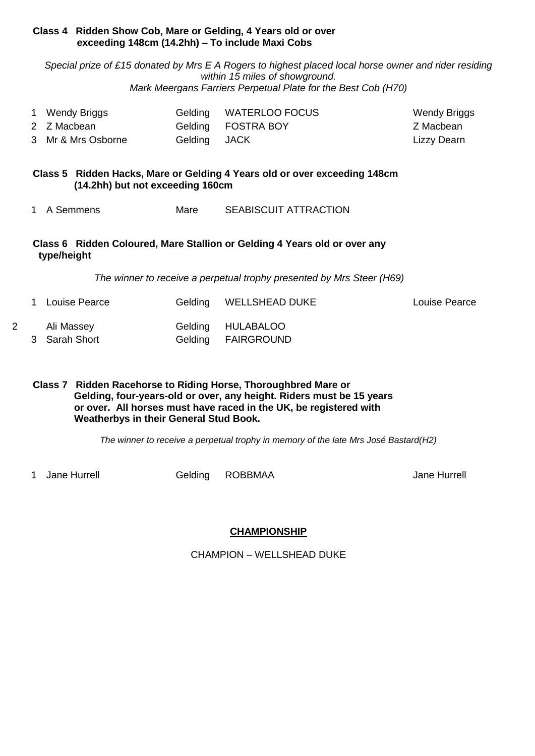#### **Class 4 Ridden Show Cob, Mare or Gelding, 4 Years old or over exceeding 148cm (14.2hh) – To include Maxi Cobs**

*Special prize of £15 donated by Mrs E A Rogers to highest placed local horse owner and rider residing within 15 miles of showground. Mark Meergans Farriers Perpetual Plate for the Best Cob (H70)*

| 1 Wendy Briggs     |              | Gelding WATERLOO FOCUS | Wendy Briggs |
|--------------------|--------------|------------------------|--------------|
| 2 Z Macbean        |              | Gelding FOSTRA BOY     | Z Macbean    |
| 3 Mr & Mrs Osborne | Gelding JACK |                        | Lizzy Dearn  |

#### **Class 5 Ridden Hacks, Mare or Gelding 4 Years old or over exceeding 148cm (14.2hh) but not exceeding 160cm**

1 A Semmens Mare SEABISCUIT ATTRACTION

#### **Class 6 Ridden Coloured, Mare Stallion or Gelding 4 Years old or over any type/height**

*The winner to receive a perpetual trophy presented by Mrs Steer (H69)*

1 Louise Pearce Gelding WELLSHEAD DUKE Louise Pearce 2 Ali Massey Gelding HULABALOO Kate Massey 3 Sarah Short Gelding FAIRGROUND

#### **Class 7 Ridden Racehorse to Riding Horse, Thoroughbred Mare or Gelding, four-years-old or over, any height. Riders must be 15 years or over. All horses must have raced in the UK, be registered with Weatherbys in their General Stud Book.**

*The winner to receive a perpetual trophy in memory of the late Mrs José Bastard(H2)*

1 Jane Hurrell **Gelding ROBBMAA** Jane Hurrell Jane Hurrell

## **CHAMPIONSHIP**

CHAMPION – WELLSHEAD DUKE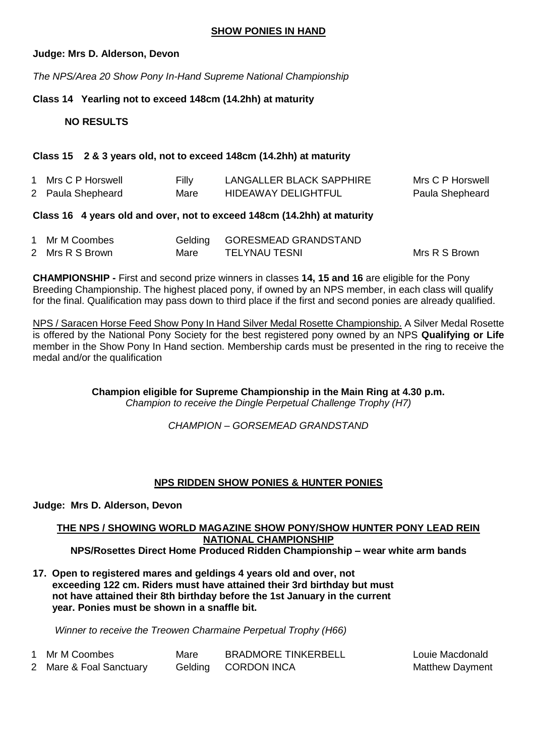#### **SHOW PONIES IN HAND**

#### **Judge: Mrs D. Alderson, Devon**

*The NPS/Area 20 Show Pony In-Hand Supreme National Championship*

#### **Class 14 Yearling not to exceed 148cm (14.2hh) at maturity**

#### **NO RESULTS**

#### **Class 15 2 & 3 years old, not to exceed 148cm (14.2hh) at maturity**

| 1 Mrs C P Horswell | Filly | LANGALLER BLACK SAPPHIRE   | Mrs C P Horswell |
|--------------------|-------|----------------------------|------------------|
| 2 Paula Shepheard  | Mare  | <b>HIDEAWAY DELIGHTFUL</b> | Paula Shepheard  |

#### **Class 16 4 years old and over, not to exceed 148cm (14.2hh) at maturity**

| 1 Mr M Coombes  |      | Gelding GORESMEAD GRANDSTAND |               |
|-----------------|------|------------------------------|---------------|
| 2 Mrs R S Brown | Mare | TELYNAU TESNI                | Mrs R S Brown |

**CHAMPIONSHIP -** First and second prize winners in classes **14, 15 and 16** are eligible for the Pony Breeding Championship. The highest placed pony, if owned by an NPS member, in each class will qualify for the final. Qualification may pass down to third place if the first and second ponies are already qualified.

NPS / Saracen Horse Feed Show Pony In Hand Silver Medal Rosette Championship. A Silver Medal Rosette is offered by the National Pony Society for the best registered pony owned by an NPS **Qualifying or Life**  member in the Show Pony In Hand section. Membership cards must be presented in the ring to receive the medal and/or the qualification

> **Champion eligible for Supreme Championship in the Main Ring at 4.30 p.m.** *Champion to receive the Dingle Perpetual Challenge Trophy (H7)*

> > *CHAMPION – GORSEMEAD GRANDSTAND*

#### **NPS RIDDEN SHOW PONIES & HUNTER PONIES**

#### **Judge: Mrs D. Alderson, Devon**

#### **THE NPS / SHOWING WORLD MAGAZINE SHOW PONY/SHOW HUNTER PONY LEAD REIN NATIONAL CHAMPIONSHIP NPS/Rosettes Direct Home Produced Ridden Championship – wear white arm bands**

**17. Open to registered mares and geldings 4 years old and over, not exceeding 122 cm. Riders must have attained their 3rd birthday but must not have attained their 8th birthday before the 1st January in the current year. Ponies must be shown in a snaffle bit.** 

 *Winner to receive the Treowen Charmaine Perpetual Trophy (H66)*

| 1 Mr M Coombes          | Mare | <b>BRADMORE TINKERBELL</b> | Louie Macdonald        |
|-------------------------|------|----------------------------|------------------------|
| 2 Mare & Foal Sanctuary |      | Gelding CORDON INCA        | <b>Matthew Dayment</b> |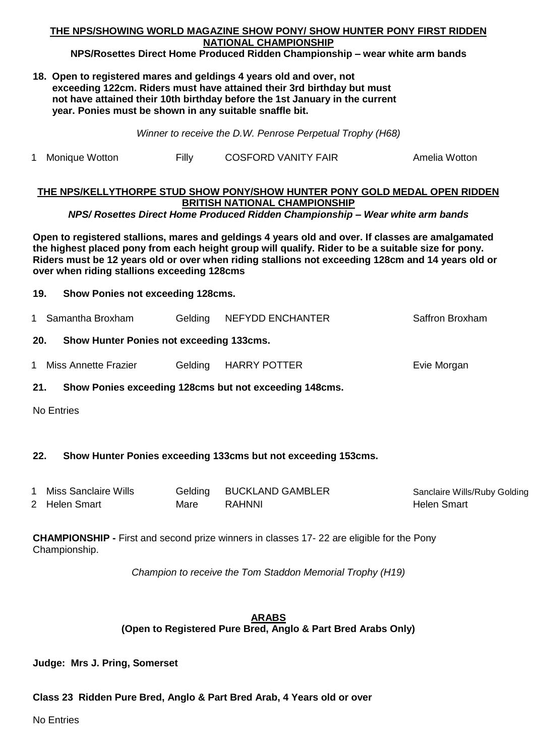#### **THE NPS/SHOWING WORLD MAGAZINE SHOW PONY/ SHOW HUNTER PONY FIRST RIDDEN NATIONAL CHAMPIONSHIP**

#### **NPS/Rosettes Direct Home Produced Ridden Championship – wear white arm bands**

**18. Open to registered mares and geldings 4 years old and over, not exceeding 122cm. Riders must have attained their 3rd birthday but must not have attained their 10th birthday before the 1st January in the current year. Ponies must be shown in any suitable snaffle bit.**

*Winner to receive the D.W. Penrose Perpetual Trophy (H68)*

1 Monique Wotton Filly COSFORD VANITY FAIR Amelia Wotton

#### **THE NPS/KELLYTHORPE STUD SHOW PONY/SHOW HUNTER PONY GOLD MEDAL OPEN RIDDEN BRITISH NATIONAL CHAMPIONSHIP**

*NPS/ Rosettes Direct Home Produced Ridden Championship – Wear white arm bands*

**Open to registered stallions, mares and geldings 4 years old and over. If classes are amalgamated the highest placed pony from each height group will qualify. Rider to be a suitable size for pony. Riders must be 12 years old or over when riding stallions not exceeding 128cm and 14 years old or over when riding stallions exceeding 128cms**

- **19. Show Ponies not exceeding 128cms.**
- 1 Samantha Broxham Gelding NEFYDD ENCHANTER Saffron Broxham

#### **20. Show Hunter Ponies not exceeding 133cms.**

- 1 Miss Annette Frazier Gelding HARRY POTTER File The Morgan
- **21. Show Ponies exceeding 128cms but not exceeding 148cms.**

No Entries

#### **22. Show Hunter Ponies exceeding 133cms but not exceeding 153cms.**

| Miss Sanclaire Wills | Gelding | <b>BUCKLAND GAMBLER</b> | Sanclaire Wills/Ruby Golding |
|----------------------|---------|-------------------------|------------------------------|
| 2 Helen Smart        | Mare    | RAHNNI                  | Helen Smart                  |

**CHAMPIONSHIP -** First and second prize winners in classes 17- 22 are eligible for the Pony Championship.

*Champion to receive the Tom Staddon Memorial Trophy (H19)*

#### **ARABS (Open to Registered Pure Bred, Anglo & Part Bred Arabs Only)**

**Judge: Mrs J. Pring, Somerset**

#### **Class 23 Ridden Pure Bred, Anglo & Part Bred Arab, 4 Years old or over**

No Entries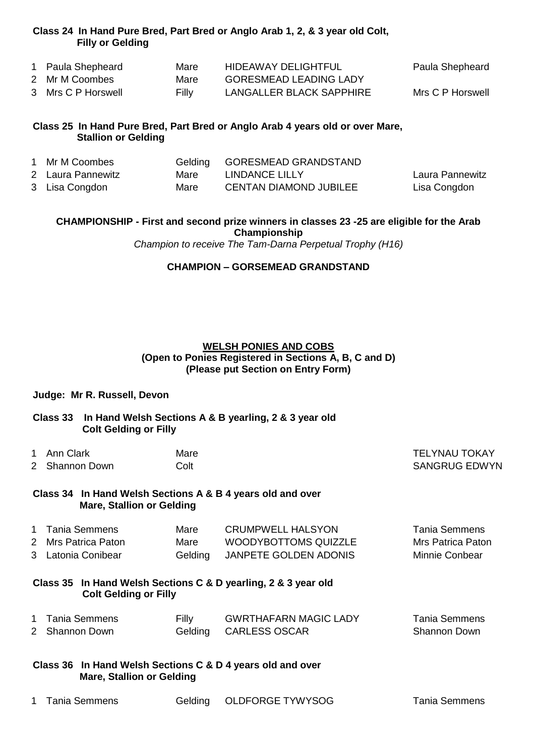#### **Class 24 In Hand Pure Bred, Part Bred or Anglo Arab 1, 2, & 3 year old Colt, Filly or Gelding**

| 1 Paula Shepheard  | Mare  | <b>HIDEAWAY DELIGHTFUL</b>    | Paula Shepheard  |
|--------------------|-------|-------------------------------|------------------|
| 2 Mr M Coombes     | Mare  | <b>GORESMEAD LEADING LADY</b> |                  |
| 3 Mrs C P Horswell | Filly | LANGALLER BLACK SAPPHIRE      | Mrs C P Horswell |

#### **Class 25 In Hand Pure Bred, Part Bred or Anglo Arab 4 years old or over Mare, Stallion or Gelding**

| 1 Mr M Coombes    |      | Gelding GORESMEAD GRANDSTAND  |                 |
|-------------------|------|-------------------------------|-----------------|
| 2 Laura Pannewitz | Mare | LINDANCE LILLY                | Laura Pannewitz |
| 3 Lisa Congdon    | Mare | <b>CENTAN DIAMOND JUBILEE</b> | Lisa Congdon    |

**CHAMPIONSHIP - First and second prize winners in classes 23 -25 are eligible for the Arab Championship**

*Champion to receive The Tam-Darna Perpetual Trophy (H16)*

#### **CHAMPION – GORSEMEAD GRANDSTAND**

#### **WELSH PONIES AND COBS (Open to Ponies Registered in Sections A, B, C and D) (Please put Section on Entry Form)**

#### **Judge: Mr R. Russell, Devon**

#### **Class 33 In Hand Welsh Sections A & B yearling, 2 & 3 year old Colt Gelding or Filly**

1 Ann Clark Mare Mare TELYNAU TOKAY

2 Shannon Down Colt Colt Colt SANGRUG EDWYN

#### **Class 34 In Hand Welsh Sections A & B 4 years old and over Mare, Stallion or Gelding**

| 1 Tania Semmens     | Mare    | <b>CRUMPWELL HALSYON</b> | Tania Semmens     |
|---------------------|---------|--------------------------|-------------------|
| 2 Mrs Patrica Paton | Mare    | WOODYBOTTOMS QUIZZLE     | Mrs Patrica Paton |
| 3 Latonia Conibear  | Gelding | JANPETE GOLDEN ADONIS    | Minnie Conbear    |

**Class 35 In Hand Welsh Sections C & D yearling, 2 & 3 year old Colt Gelding or Filly**

| 1 Tania Semmens | Filly | <b>GWRTHAFARN MAGIC LADY</b> | <b>Tania Semmens</b> |
|-----------------|-------|------------------------------|----------------------|
| 2 Shannon Down  |       | Gelding CARLESS OSCAR        | Shannon Down         |

#### **Class 36 In Hand Welsh Sections C & D 4 years old and over Mare, Stallion or Gelding**

|  | 1 Tania Semmens |  | Gelding OLDFORGE TYWYSOG | <b>Tania Semmens</b> |
|--|-----------------|--|--------------------------|----------------------|
|--|-----------------|--|--------------------------|----------------------|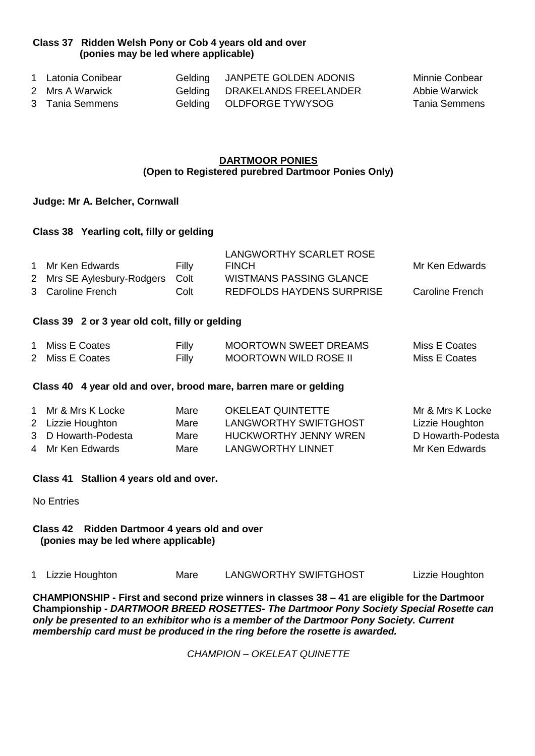#### **Class 37 Ridden Welsh Pony or Cob 4 years old and over (ponies may be led where applicable)**

| 1 Latonia Conibear | Gelding JANPETE GOLDEN ADONIS | Minnie Conbear |
|--------------------|-------------------------------|----------------|
| 2 Mrs A Warwick    | Gelding DRAKELANDS FREELANDER | Abbie Warwick  |
| 3 Tania Semmens    | Gelding OLDFORGE TYWYSOG      | Tania Semmens  |

#### **DARTMOOR PONIES (Open to Registered purebred Dartmoor Ponies Only)**

#### **Judge: Mr A. Belcher, Cornwall**

#### **Class 38 Yearling colt, filly or gelding**

|                                 |       | LANGWORTHY SCARLET ROSE          |                 |
|---------------------------------|-------|----------------------------------|-----------------|
| 1 Mr Ken Edwards                | Filly | <b>FINCH</b>                     | Mr Ken Edwards  |
| 2 Mrs SE Aylesbury-Rodgers Colt |       | <b>WISTMANS PASSING GLANCE</b>   |                 |
| 3 Caroline French               | Colt  | <b>REDFOLDS HAYDENS SURPRISE</b> | Caroline French |

#### **Class 39 2 or 3 year old colt, filly or gelding**

| Miss E Coates   | Filly | <b>MOORTOWN SWEET DREAMS</b> | Miss E Coates |
|-----------------|-------|------------------------------|---------------|
| 2 Miss E Coates | Filly | <b>MOORTOWN WILD ROSE II</b> | Miss E Coates |

#### **Class 40 4 year old and over, brood mare, barren mare or gelding**

| 1 Mr & Mrs K Locke  | Mare | OKELEAT QUINTETTE     | Mr & Mrs K Locke  |
|---------------------|------|-----------------------|-------------------|
| 2 Lizzie Houghton   | Mare | LANGWORTHY SWIFTGHOST | Lizzie Houghton   |
| 3 D Howarth-Podesta | Mare | HUCKWORTHY JENNY WREN | D Howarth-Podesta |
| 4 Mr Ken Edwards    | Mare | LANGWORTHY LINNET     | Mr Ken Edwards    |

#### **Class 41 Stallion 4 years old and over.**

No Entries

#### **Class 42 Ridden Dartmoor 4 years old and over (ponies may be led where applicable)**

|  | 1 Lizzie Houghton | Mare | LANGWORTHY SWIFTGHOST | Lizzie Houghton |
|--|-------------------|------|-----------------------|-----------------|
|--|-------------------|------|-----------------------|-----------------|

**CHAMPIONSHIP - First and second prize winners in classes 38 – 41 are eligible for the Dartmoor Championship -** *DARTMOOR BREED ROSETTES- The Dartmoor Pony Society Special Rosette can only be presented to an exhibitor who is a member of the Dartmoor Pony Society. Current membership card must be produced in the ring before the rosette is awarded.*

*CHAMPION – OKELEAT QUINETTE*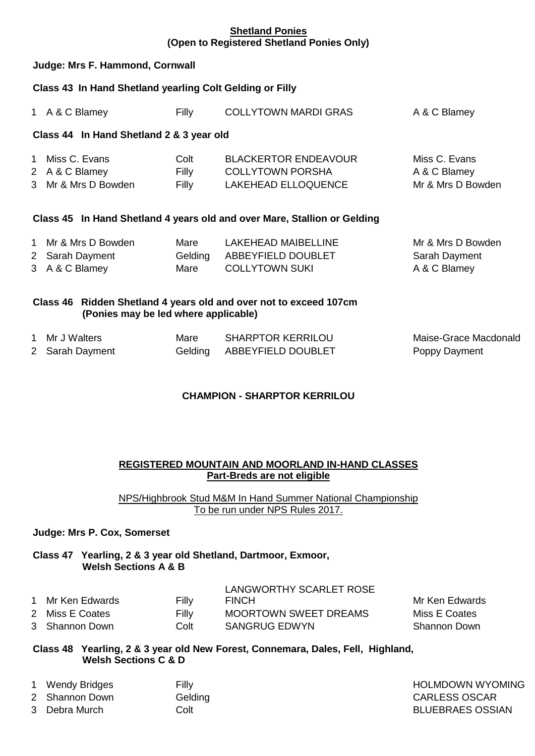#### **Shetland Ponies (Open to Registered Shetland Ponies Only)**

#### **Judge: Mrs F. Hammond, Cornwall**

#### **Class 43 In Hand Shetland yearling Colt Gelding or Filly**

| $1 \quad$         | A & C Blamey                                                             | Filly                  | <b>COLLYTOWN MARDI GRAS</b>                                                          | A & C Blamey                                       |  |
|-------------------|--------------------------------------------------------------------------|------------------------|--------------------------------------------------------------------------------------|----------------------------------------------------|--|
|                   | Class 44 In Hand Shetland 2 & 3 year old                                 |                        |                                                                                      |                                                    |  |
| 1.                | Miss C. Evans<br>2 A & C Blamey<br>3 Mr & Mrs D Bowden                   | Colt<br>Filly<br>Filly | <b>BLACKERTOR ENDEAVOUR</b><br><b>COLLYTOWN PORSHA</b><br><b>LAKEHEAD ELLOQUENCE</b> | Miss C. Evans<br>A & C Blamey<br>Mr & Mrs D Bowden |  |
|                   | Class 45 In Hand Shetland 4 years old and over Mare, Stallion or Gelding |                        |                                                                                      |                                                    |  |
| $\mathbf{1}$<br>2 | Mr & Mrs D Bowden<br>Sarah Dayment                                       | Mare<br>Gelding        | <b>LAKEHEAD MAIBELLINE</b><br>ABBEYFIELD DOUBLET                                     | Mr & Mrs D Bowden<br>Sarah Dayment                 |  |

3 A & C Blamey Mare COLLYTOWN SUKI A & C Blamey

## **Class 46 Ridden Shetland 4 years old and over not to exceed 107cm**

| (Ponies may be led where applicable) |  |  |
|--------------------------------------|--|--|
|                                      |  |  |

| 1 Mr J Walters  | Mare | <b>SHARPTOR KERRILOU</b>   | Maise-Grace Macdonald |
|-----------------|------|----------------------------|-----------------------|
| 2 Sarah Dayment |      | Gelding ABBEYFIELD DOUBLET | Poppy Dayment         |

## **CHAMPION - SHARPTOR KERRILOU**

#### **REGISTERED MOUNTAIN AND MOORLAND IN-HAND CLASSES Part-Breds are not eligible**

NPS/Highbrook Stud M&M In Hand Summer National Championship To be run under NPS Rules 2017.

#### **Judge: Mrs P. Cox, Somerset**

#### **Class 47 Yearling, 2 & 3 year old Shetland, Dartmoor, Exmoor, Welsh Sections A & B**

|                  |       | LANGWORTHY SCARLET ROSE      |                |
|------------------|-------|------------------------------|----------------|
| 1 Mr Ken Edwards | Filly | <b>FINCH</b>                 | Mr Ken Edwards |
| 2 Miss E Coates  | Filly | <b>MOORTOWN SWEET DREAMS</b> | Miss E Coates  |
| 3 Shannon Down   | Colt  | <b>SANGRUG EDWYN</b>         | Shannon Down   |

#### **Class 48 Yearling, 2 & 3 year old New Forest, Connemara, Dales, Fell, Highland, Welsh Sections C & D**

| $\mathbf{1}$ | Wendy Bridges  | Filly   |
|--------------|----------------|---------|
|              | 2 Shannon Down | Gelding |
|              | 3 Debra Murch  | Colt    |

**HOLMDOWN WYOMING CARLESS OSCAR BLUEBRAES OSSIAN**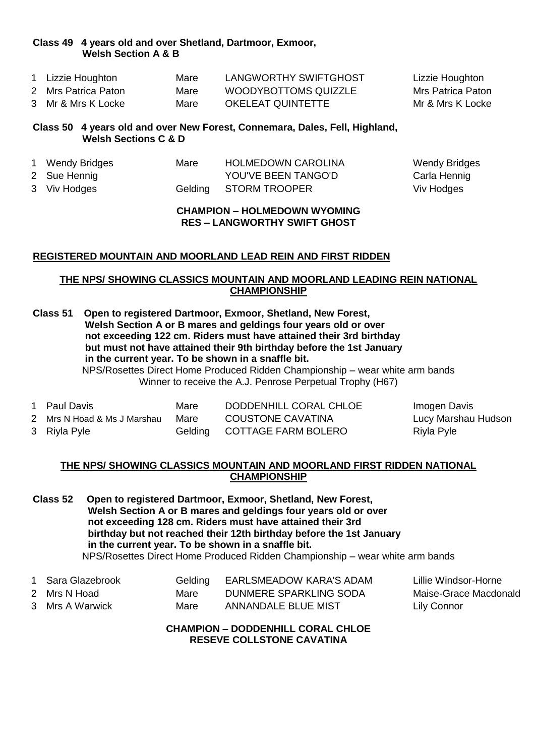#### **Class 49 4 years old and over Shetland, Dartmoor, Exmoor, Welsh Section A & B**

| 1 Lizzie Houghton   | Mare | LANGWORTHY SWIFTGHOST | Lizzie Houghton   |
|---------------------|------|-----------------------|-------------------|
| 2 Mrs Patrica Paton | Mare | WOODYBOTTOMS QUIZZLE  | Mrs Patrica Paton |
| 3 Mr & Mrs K Locke  | Mare | OKELEAT QUINTETTE     | Mr & Mrs K Locke  |

#### **Class 50 4 years old and over New Forest, Connemara, Dales, Fell, Highland, Welsh Sections C & D**

| 1 Wendy Bridges | Mare | <b>HOLMEDOWN CAROLINA</b> | Wendy Bridges |
|-----------------|------|---------------------------|---------------|
| 2 Sue Hennig    |      | YOU'VE BEEN TANGO'D       | Carla Hennig  |
| 3 Viv Hodges    |      | Gelding STORM TROOPER     | Viv Hodges    |

#### **CHAMPION – HOLMEDOWN WYOMING RES – LANGWORTHY SWIFT GHOST**

#### **REGISTERED MOUNTAIN AND MOORLAND LEAD REIN AND FIRST RIDDEN**

#### **THE NPS/ SHOWING CLASSICS MOUNTAIN AND MOORLAND LEADING REIN NATIONAL CHAMPIONSHIP**

**Class 51 Open to registered Dartmoor, Exmoor, Shetland, New Forest, Welsh Section A or B mares and geldings four years old or over not exceeding 122 cm. Riders must have attained their 3rd birthday but must not have attained their 9th birthday before the 1st January in the current year. To be shown in a snaffle bit.**

NPS/Rosettes Direct Home Produced Ridden Championship – wear white arm bands Winner to receive the A.J. Penrose Perpetual Trophy (H67)

| 1 Paul Davis                | Mare | DODDENHILL CORAL CHLOE      | Imogen Davis        |
|-----------------------------|------|-----------------------------|---------------------|
| 2 Mrs N Hoad & Ms J Marshau | Mare | <b>COUSTONE CAVATINA</b>    | Lucy Marshau Hudson |
| 3 Riyla Pyle                |      | Gelding COTTAGE FARM BOLERO | Riyla Pyle          |

#### **THE NPS/ SHOWING CLASSICS MOUNTAIN AND MOORLAND FIRST RIDDEN NATIONAL CHAMPIONSHIP**

**Class 52 Open to registered Dartmoor, Exmoor, Shetland, New Forest, Welsh Section A or B mares and geldings four years old or over not exceeding 128 cm. Riders must have attained their 3rd birthday but not reached their 12th birthday before the 1st January in the current year. To be shown in a snaffle bit.** NPS/Rosettes Direct Home Produced Ridden Championship – wear white arm bands

| 1 Sara Glazebrook | Gelding | <b>EARLSMEADOW KARA'S ADAM</b> | Lillie Windsor-Horne  |
|-------------------|---------|--------------------------------|-----------------------|
| 2 Mrs N Hoad      | Mare    | DUNMERE SPARKLING SODA         | Maise-Grace Macdonald |
| 3 Mrs A Warwick   | Mare    | ANNANDALE BLUE MIST            | <b>Lily Connor</b>    |

**CHAMPION – DODDENHILL CORAL CHLOE RESEVE COLLSTONE CAVATINA**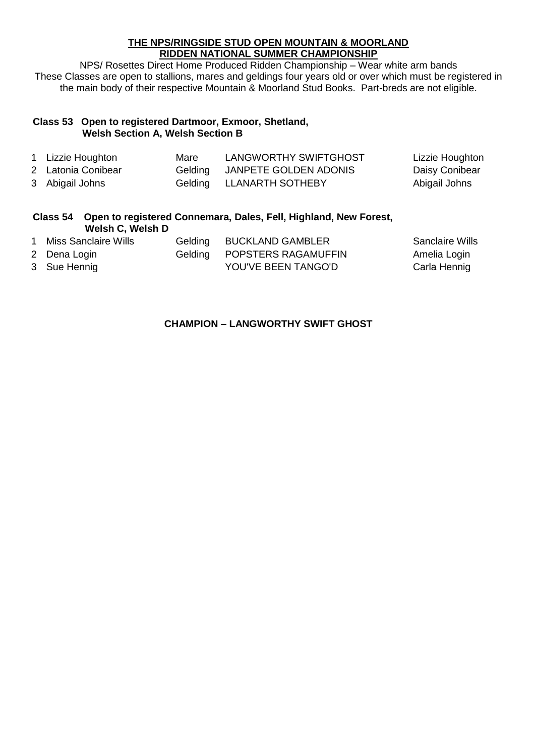#### **THE NPS/RINGSIDE STUD OPEN MOUNTAIN & MOORLAND RIDDEN NATIONAL SUMMER CHAMPIONSHIP**

NPS/ Rosettes Direct Home Produced Ridden Championship – Wear white arm bands These Classes are open to stallions, mares and geldings four years old or over which must be registered in the main body of their respective Mountain & Moorland Stud Books. Part-breds are not eligible.

#### **Class 53 Open to registered Dartmoor, Exmoor, Shetland, Welsh Section A, Welsh Section B**

| 1 Lizzie Houghton  | Mare | LANGWORTHY SWIFTGHOST         | Lizzie Houghton |
|--------------------|------|-------------------------------|-----------------|
| 2 Latonia Conibear |      | Gelding JANPETE GOLDEN ADONIS | Daisy Conibear  |
| 3 Abigail Johns    |      | Gelding LLANARTH SOTHEBY      | Abigail Johns   |

#### **Class 54 Open to registered Connemara, Dales, Fell, Highland, New Forest, Welsh C, Welsh D**

| 1 Miss Sanclaire Wills | Gelding BUCKLAND GAMBLER    | <b>Sanclaire Wills</b> |
|------------------------|-----------------------------|------------------------|
| 2 Dena Login           | Gelding POPSTERS RAGAMUFFIN | Amelia Login           |
| 3 Sue Hennig           | YOU'VE BEEN TANGO'D         | Carla Hennig           |

#### **CHAMPION – LANGWORTHY SWIFT GHOST**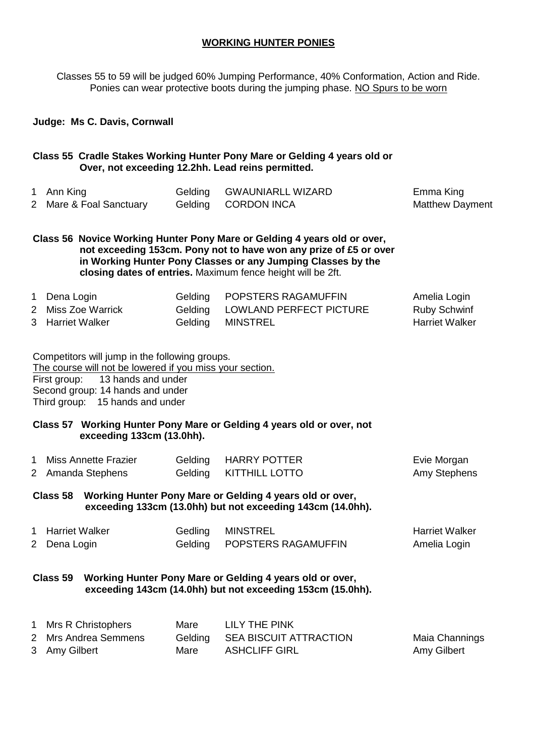#### **WORKING HUNTER PONIES**

Classes 55 to 59 will be judged 60% Jumping Performance, 40% Conformation, Action and Ride. Ponies can wear protective boots during the jumping phase. NO Spurs to be worn

#### **Judge: Ms C. Davis, Cornwall**

#### **Class 55 Cradle Stakes Working Hunter Pony Mare or Gelding 4 years old or Over, not exceeding 12.2hh. Lead reins permitted.**

| 1 Ann King              | Gelding GWAUNIARLL WIZARD | Emma King              |
|-------------------------|---------------------------|------------------------|
| 2 Mare & Foal Sanctuary | Gelding CORDON INCA       | <b>Matthew Dayment</b> |

**Class 56 Novice Working Hunter Pony Mare or Gelding 4 years old or over, not exceeding 153cm. Pony not to have won any prize of £5 or over in Working Hunter Pony Classes or any Jumping Classes by the closing dates of entries.** Maximum fence height will be 2ft.

| 1 Dena Login       | Gelding POPSTERS RAGAMUFFIN     | Amelia Login          |
|--------------------|---------------------------------|-----------------------|
| 2 Miss Zoe Warrick | Gelding LOWLAND PERFECT PICTURE | Ruby Schwinf          |
| 3 Harriet Walker   | Gelding MINSTREL                | <b>Harriet Walker</b> |

Competitors will jump in the following groups. The course will not be lowered if you miss your section. First group: 13 hands and under Second group: 14 hands and under Third group: 15 hands and under

#### **Class 57 Working Hunter Pony Mare or Gelding 4 years old or over, not exceeding 133cm (13.0hh).**

| Miss Annette Frazier | Gelding HARRY POTTER   | Evie Morgan         |
|----------------------|------------------------|---------------------|
| 2 Amanda Stephens    | Gelding KITTHILL LOTTO | <b>Amy Stephens</b> |

**Class 58 Working Hunter Pony Mare or Gelding 4 years old or over, exceeding 133cm (13.0hh) but not exceeding 143cm (14.0hh).** 

| 1 Harriet Walker | Gedling MINSTREL            | <b>Harriet Walker</b> |
|------------------|-----------------------------|-----------------------|
| 2 Dena Login     | Gelding POPSTERS RAGAMUFFIN | Amelia Login          |

#### **Class 59 Working Hunter Pony Mare or Gelding 4 years old or over, exceeding 143cm (14.0hh) but not exceeding 153cm (15.0hh).**

| 1 Mrs R Christophers | Mare | LILY THE PINK                  |                |
|----------------------|------|--------------------------------|----------------|
| 2 Mrs Andrea Semmens |      | Gelding SEA BISCUIT ATTRACTION | Maia Channings |
| 3 Amy Gilbert        | Mare | ASHCLIFF GIRL                  | Amy Gilbert    |